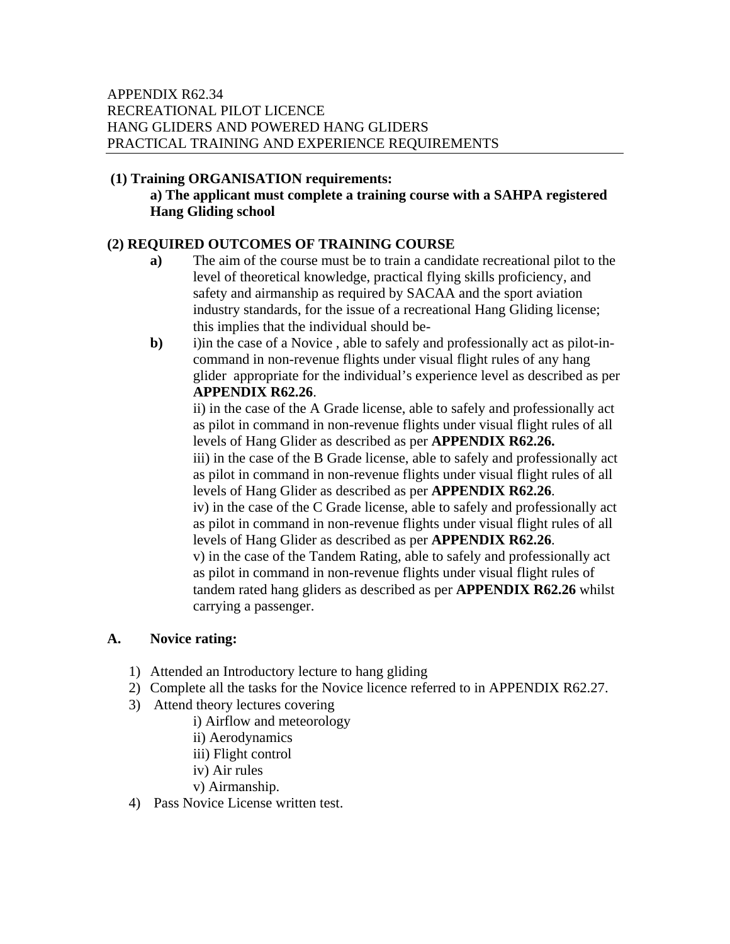#### **(1) Training ORGANISATION requirements:**

## **a) The applicant must complete a training course with a SAHPA registered Hang Gliding school**

# **(2) REQUIRED OUTCOMES OF TRAINING COURSE**

- **a)** The aim of the course must be to train a candidate recreational pilot to the level of theoretical knowledge, practical flying skills proficiency, and safety and airmanship as required by SACAA and the sport aviation industry standards, for the issue of a recreational Hang Gliding license; this implies that the individual should be-
- **b**) i)in the case of a Novice, able to safely and professionally act as pilot-incommand in non-revenue flights under visual flight rules of any hang glider appropriate for the individual's experience level as described as per **APPENDIX R62.26**.

ii) in the case of the A Grade license, able to safely and professionally act as pilot in command in non-revenue flights under visual flight rules of all levels of Hang Glider as described as per **APPENDIX R62.26.**

iii) in the case of the B Grade license, able to safely and professionally act as pilot in command in non-revenue flights under visual flight rules of all levels of Hang Glider as described as per **APPENDIX R62.26**.

iv) in the case of the C Grade license, able to safely and professionally act as pilot in command in non-revenue flights under visual flight rules of all levels of Hang Glider as described as per **APPENDIX R62.26**.

v) in the case of the Tandem Rating, able to safely and professionally act as pilot in command in non-revenue flights under visual flight rules of tandem rated hang gliders as described as per **APPENDIX R62.26** whilst carrying a passenger.

## **A. Novice rating:**

- 1) Attended an Introductory lecture to hang gliding
- 2) Complete all the tasks for the Novice licence referred to in APPENDIX R62.27.
- 3) Attend theory lectures covering
	- i) Airflow and meteorology
	- ii) Aerodynamics
	- iii) Flight control
	- iv) Air rules
	- v) Airmanship.
- 4) Pass Novice License written test.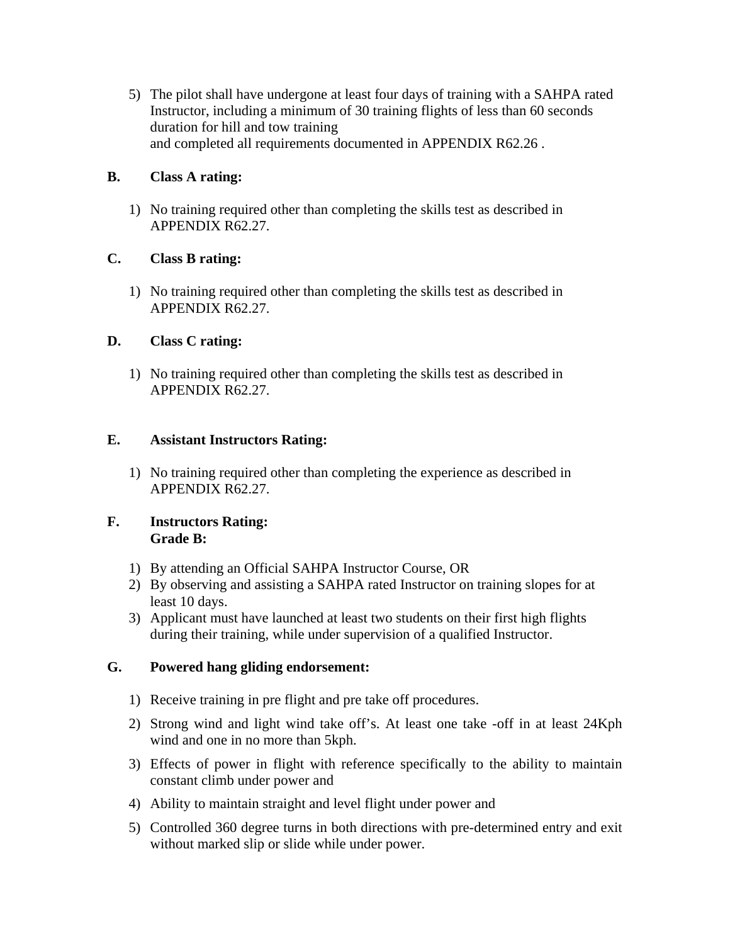5) The pilot shall have undergone at least four days of training with a SAHPA rated Instructor, including a minimum of 30 training flights of less than 60 seconds duration for hill and tow training and completed all requirements documented in APPENDIX R62.26 .

## **B. Class A rating:**

1) No training required other than completing the skills test as described in APPENDIX R62.27.

# **C. Class B rating:**

1) No training required other than completing the skills test as described in APPENDIX R62.27.

# **D. Class C rating:**

1) No training required other than completing the skills test as described in APPENDIX R62.27.

# **E. Assistant Instructors Rating:**

1) No training required other than completing the experience as described in APPENDIX R62.27.

# **F. Instructors Rating: Grade B:**

- 1) By attending an Official SAHPA Instructor Course, OR
- 2) By observing and assisting a SAHPA rated Instructor on training slopes for at least 10 days.
- 3) Applicant must have launched at least two students on their first high flights during their training, while under supervision of a qualified Instructor.

## **G. Powered hang gliding endorsement:**

- 1) Receive training in pre flight and pre take off procedures.
- 2) Strong wind and light wind take off's. At least one take -off in at least 24Kph wind and one in no more than 5kph.
- 3) Effects of power in flight with reference specifically to the ability to maintain constant climb under power and
- 4) Ability to maintain straight and level flight under power and
- 5) Controlled 360 degree turns in both directions with pre-determined entry and exit without marked slip or slide while under power.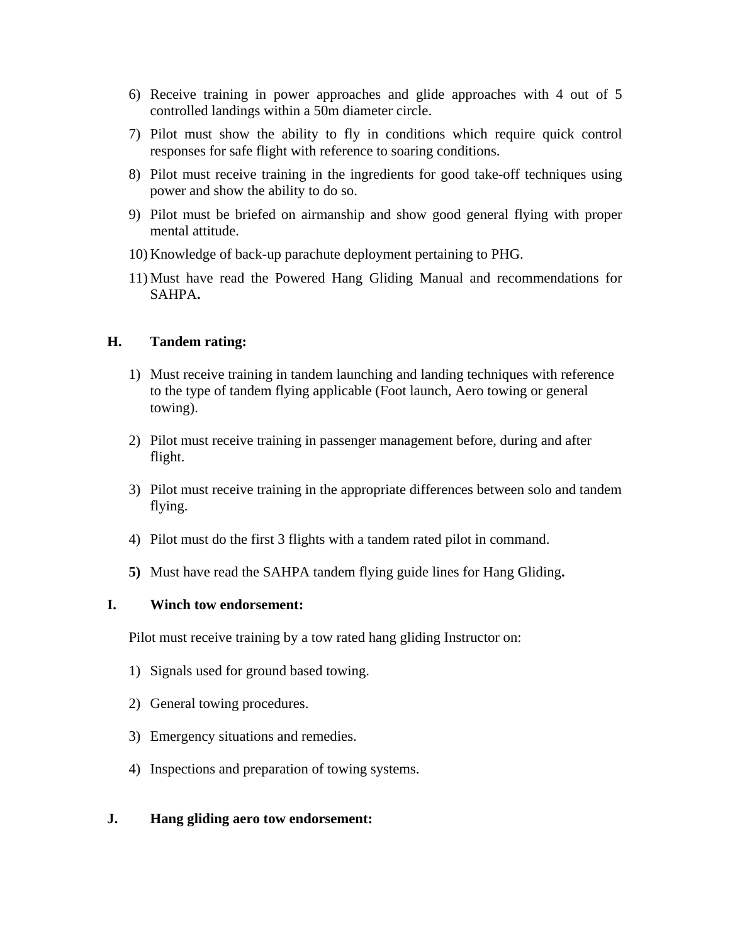- 6) Receive training in power approaches and glide approaches with 4 out of 5 controlled landings within a 50m diameter circle.
- 7) Pilot must show the ability to fly in conditions which require quick control responses for safe flight with reference to soaring conditions.
- 8) Pilot must receive training in the ingredients for good take-off techniques using power and show the ability to do so.
- 9) Pilot must be briefed on airmanship and show good general flying with proper mental attitude.
- 10) Knowledge of back-up parachute deployment pertaining to PHG.
- 11) Must have read the Powered Hang Gliding Manual and recommendations for SAHPA**.**

#### **H. Tandem rating:**

- 1) Must receive training in tandem launching and landing techniques with reference to the type of tandem flying applicable (Foot launch, Aero towing or general towing).
- 2) Pilot must receive training in passenger management before, during and after flight.
- 3) Pilot must receive training in the appropriate differences between solo and tandem flying.
- 4) Pilot must do the first 3 flights with a tandem rated pilot in command.
- **5)** Must have read the SAHPA tandem flying guide lines for Hang Gliding**.**

#### **I. Winch tow endorsement:**

Pilot must receive training by a tow rated hang gliding Instructor on:

- 1) Signals used for ground based towing.
- 2) General towing procedures.
- 3) Emergency situations and remedies.
- 4) Inspections and preparation of towing systems.

## **J. Hang gliding aero tow endorsement:**